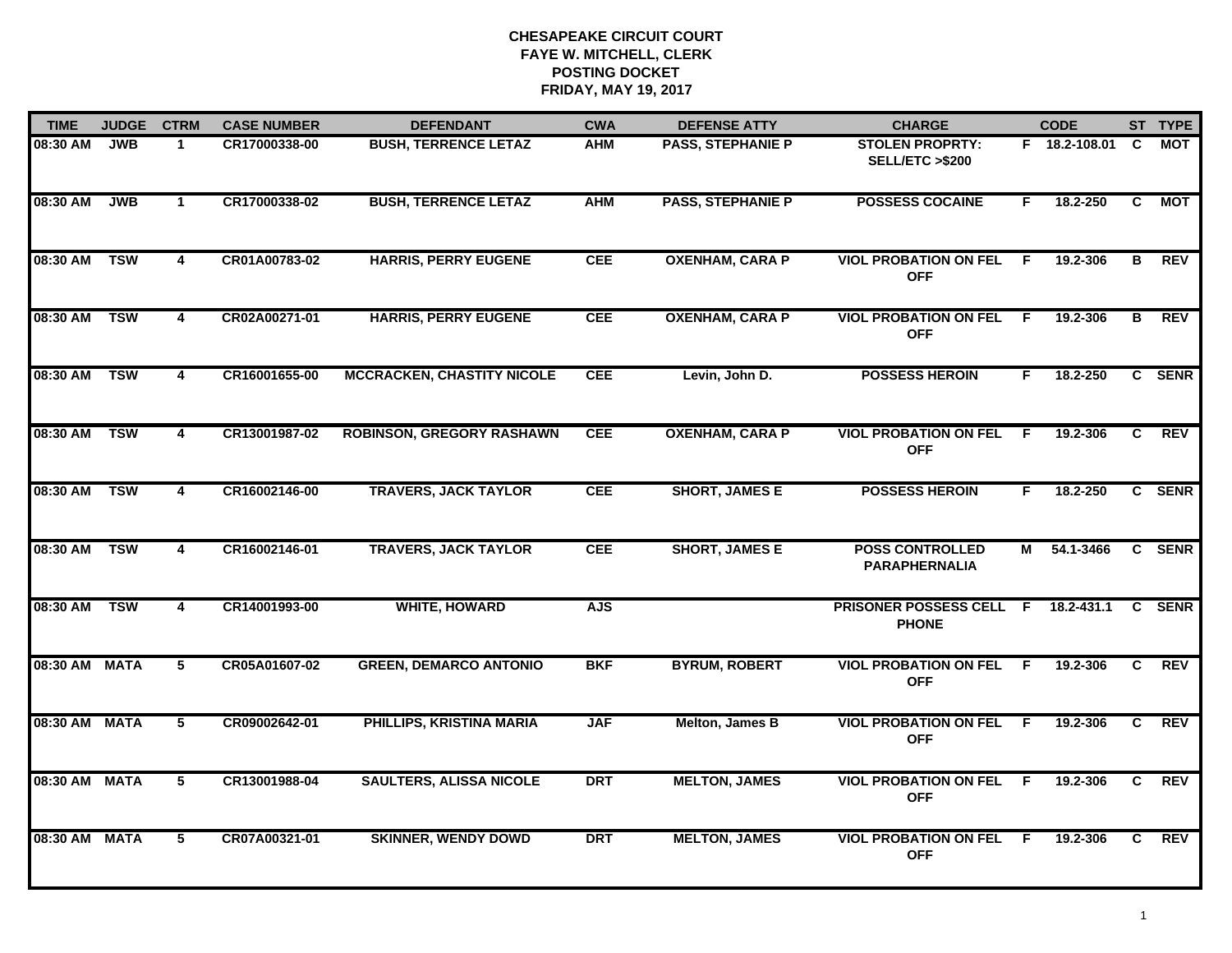| <b>TIME</b>   | <b>JUDGE</b> | <b>CTRM</b>             | <b>CASE NUMBER</b> | <b>DEFENDANT</b>                  | <b>CWA</b> | <b>DEFENSE ATTY</b>      | <b>CHARGE</b>                                       |              | <b>CODE</b>   |                | ST TYPE     |
|---------------|--------------|-------------------------|--------------------|-----------------------------------|------------|--------------------------|-----------------------------------------------------|--------------|---------------|----------------|-------------|
| 08:30 AM      | JWB          | $\mathbf 1$             | CR17000338-00      | <b>BUSH, TERRENCE LETAZ</b>       | AHM        | <b>PASS, STEPHANIE P</b> | <b>STOLEN PROPRTY:</b><br><b>SELL/ETC &gt;\$200</b> |              | F 18.2-108.01 | C              | <b>MOT</b>  |
| 08:30 AM      | JWB          | $\mathbf{1}$            | CR17000338-02      | <b>BUSH, TERRENCE LETAZ</b>       | <b>AHM</b> | <b>PASS, STEPHANIE P</b> | <b>POSSESS COCAINE</b>                              | F.           | 18.2-250      | $\overline{c}$ | <b>MOT</b>  |
| 08:30 AM TSW  |              | 4                       | CR01A00783-02      | <b>HARRIS, PERRY EUGENE</b>       | <b>CEE</b> | <b>OXENHAM, CARA P</b>   | <b>VIOL PROBATION ON FEL</b><br><b>OFF</b>          | $\mathsf{F}$ | 19.2-306      | в              | REV         |
| 08:30 AM      | <b>TSW</b>   | 4                       | CR02A00271-01      | <b>HARRIS, PERRY EUGENE</b>       | <b>CEE</b> | <b>OXENHAM, CARA P</b>   | <b>VIOL PROBATION ON FEL F</b><br><b>OFF</b>        |              | 19.2-306      | в              | <b>REV</b>  |
| 08:30 AM      | <b>TSW</b>   | $\overline{\mathbf{4}}$ | CR16001655-00      | <b>MCCRACKEN, CHASTITY NICOLE</b> | <b>CEE</b> | Levin, John D.           | <b>POSSESS HEROIN</b>                               | F.           | 18.2-250      |                | C SENR      |
| 08:30 AM      | <b>TSW</b>   | $\overline{\mathbf{4}}$ | CR13001987-02      | <b>ROBINSON, GREGORY RASHAWN</b>  | <b>CEE</b> | <b>OXENHAM, CARA P</b>   | <b>VIOL PROBATION ON FEL</b><br><b>OFF</b>          | - F          | 19.2-306      | C              | REV         |
| 08:30 AM TSW  |              | $\overline{4}$          | CR16002146-00      | <b>TRAVERS, JACK TAYLOR</b>       | <b>CEE</b> | <b>SHORT, JAMES E</b>    | <b>POSSESS HEROIN</b>                               | F.           | 18.2-250      |                | C SENR      |
| 08:30 AM      | <b>TSW</b>   | 4                       | CR16002146-01      | <b>TRAVERS, JACK TAYLOR</b>       | <b>CEE</b> | <b>SHORT, JAMES E</b>    | <b>POSS CONTROLLED</b><br><b>PARAPHERNALIA</b>      | М            | 54.1-3466     |                | C SENR      |
| 08:30 AM      | <b>TSW</b>   | 4                       | CR14001993-00      | <b>WHITE, HOWARD</b>              | <b>AJS</b> |                          | <b>PRISONER POSSESS CELL F</b><br><b>PHONE</b>      |              | 18.2-431.1    | $\mathbf{c}$   | <b>SENR</b> |
| 08:30 AM MATA |              | 5                       | CR05A01607-02      | <b>GREEN, DEMARCO ANTONIO</b>     | <b>BKF</b> | <b>BYRUM, ROBERT</b>     | <b>VIOL PROBATION ON FEL F</b><br><b>OFF</b>        |              | 19.2-306      | C.             | <b>REV</b>  |
| 08:30 AM MATA |              | $\overline{5}$          | CR09002642-01      | PHILLIPS, KRISTINA MARIA          | <b>JAF</b> | Melton, James B          | <b>VIOL PROBATION ON FEL F</b><br><b>OFF</b>        |              | 19.2-306      | C              | <b>REV</b>  |
| 08:30 AM MATA |              | $5^{-}$                 | CR13001988-04      | <b>SAULTERS, ALISSA NICOLE</b>    | <b>DRT</b> | <b>MELTON, JAMES</b>     | <b>VIOL PROBATION ON FEL F</b><br><b>OFF</b>        |              | 19.2-306      | $\overline{c}$ | <b>REV</b>  |
| 08:30 AM MATA |              | 5                       | CR07A00321-01      | <b>SKINNER, WENDY DOWD</b>        | <b>DRT</b> | <b>MELTON, JAMES</b>     | <b>VIOL PROBATION ON FEL</b><br><b>OFF</b>          | - F          | 19.2-306      | C              | REV         |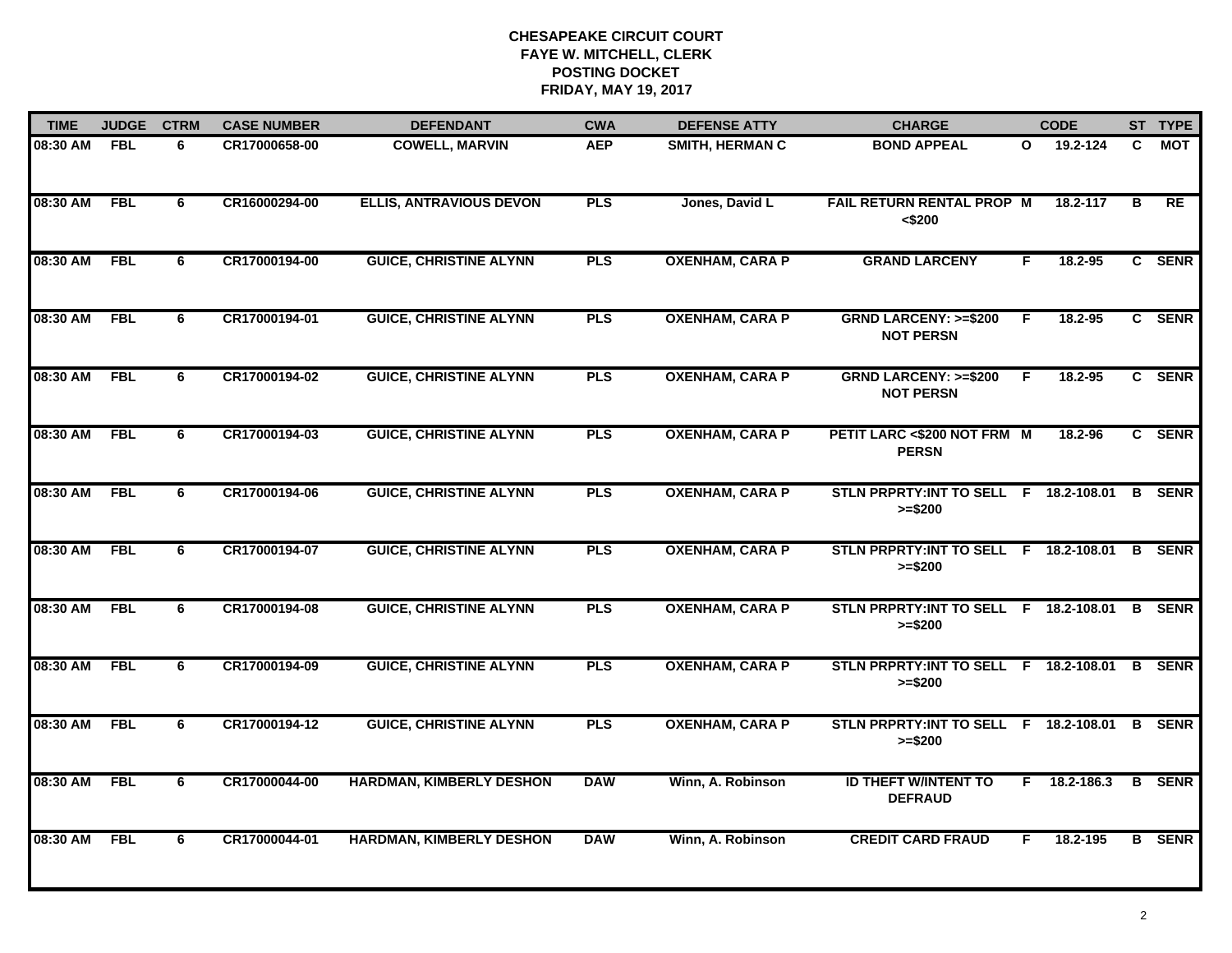| <b>TIME</b>  | <b>JUDGE</b> | <b>CTRM</b> | <b>CASE NUMBER</b> | <b>DEFENDANT</b>                | <b>CWA</b> | <b>DEFENSE ATTY</b>    | <b>CHARGE</b>                                             |              | <b>CODE</b>    |    | ST TYPE       |
|--------------|--------------|-------------|--------------------|---------------------------------|------------|------------------------|-----------------------------------------------------------|--------------|----------------|----|---------------|
| 08:30 AM     | <b>FBL</b>   | 6           | CR17000658-00      | <b>COWELL, MARVIN</b>           | <b>AEP</b> | <b>SMITH, HERMAN C</b> | <b>BOND APPEAL</b>                                        | $\mathbf{o}$ | 19.2-124       | C. | МОТ           |
| 08:30 AM     | FBL          | 6           | CR16000294-00      | <b>ELLIS, ANTRAVIOUS DEVON</b>  | <b>PLS</b> | Jones, David L         | <b>FAIL RETURN RENTAL PROP M</b><br>$<$ \$200             |              | 18.2-117       | в  | <b>RE</b>     |
| 08:30 AM     | <b>FBL</b>   | 6           | CR17000194-00      | <b>GUICE, CHRISTINE ALYNN</b>   | <b>PLS</b> | <b>OXENHAM, CARA P</b> | <b>GRAND LARCENY</b>                                      | F            | 18.2-95        |    | C SENR        |
| 08:30 AM     | <b>FBL</b>   | 6           | CR17000194-01      | <b>GUICE, CHRISTINE ALYNN</b>   | <b>PLS</b> | <b>OXENHAM, CARA P</b> | <b>GRND LARCENY: &gt;=\$200</b><br><b>NOT PERSN</b>       | E            | 18.2-95        |    | C SENR        |
| 08:30 AM     | <b>FBL</b>   | 6           | CR17000194-02      | <b>GUICE, CHRISTINE ALYNN</b>   | <b>PLS</b> | <b>OXENHAM, CARA P</b> | <b>GRND LARCENY: &gt;=\$200</b><br><b>NOT PERSN</b>       | F.           | $18.2 - 95$    |    | C SENR        |
| 08:30 AM FBL |              | 6           | CR17000194-03      | <b>GUICE, CHRISTINE ALYNN</b>   | <b>PLS</b> | <b>OXENHAM, CARA P</b> | PETIT LARC <\$200 NOT FRM M<br><b>PERSN</b>               |              | 18.2-96        |    | C SENR        |
| 08:30 AM     | FBL          | 6           | CR17000194-06      | <b>GUICE, CHRISTINE ALYNN</b>   | <b>PLS</b> | <b>OXENHAM, CARA P</b> | STLN PRPRTY: INT TO SELL F 18.2-108.01<br>$>= $200$       |              |                | B  | <b>SENR</b>   |
| 08:30 AM     | <b>FBL</b>   | 6           | CR17000194-07      | <b>GUICE, CHRISTINE ALYNN</b>   | <b>PLS</b> | <b>OXENHAM, CARA P</b> | STLN PRPRTY:INT TO SELL F 18.2-108.01 B SENR<br>$>= $200$ |              |                |    |               |
| 08:30 AM     | <b>FBL</b>   | 6           | CR17000194-08      | <b>GUICE, CHRISTINE ALYNN</b>   | <b>PLS</b> | <b>OXENHAM, CARA P</b> | STLN PRPRTY: INT TO SELL F 18.2-108.01<br>$>= $200$       |              |                |    | <b>B</b> SENR |
| 08:30 AM     | <b>FBL</b>   | 6           | CR17000194-09      | <b>GUICE, CHRISTINE ALYNN</b>   | <b>PLS</b> | <b>OXENHAM, CARA P</b> | STLN PRPRTY: INT TO SELL F 18.2-108.01<br>$>= $200$       |              |                | B  | <b>SENR</b>   |
| 08:30 AM     | <b>FBL</b>   | 6           | CR17000194-12      | <b>GUICE, CHRISTINE ALYNN</b>   | <b>PLS</b> | <b>OXENHAM, CARA P</b> | STLN PRPRTY:INT TO SELL F 18.2-108.01 B SENR<br>$>= $200$ |              |                |    |               |
| 08:30 AM     | <b>FBL</b>   | 6           | CR17000044-00      | HARDMAN, KIMBERLY DESHON        | <b>DAW</b> | Winn, A. Robinson      | <b>ID THEFT W/INTENT TO</b><br><b>DEFRAUD</b>             |              | $F$ 18.2-186.3 |    | <b>B</b> SENR |
| 08:30 AM     | FBL          | 6           | CR17000044-01      | <b>HARDMAN, KIMBERLY DESHON</b> | <b>DAW</b> | Winn, A. Robinson      | <b>CREDIT CARD FRAUD</b>                                  | F.           | 18.2-195       |    | <b>B</b> SENR |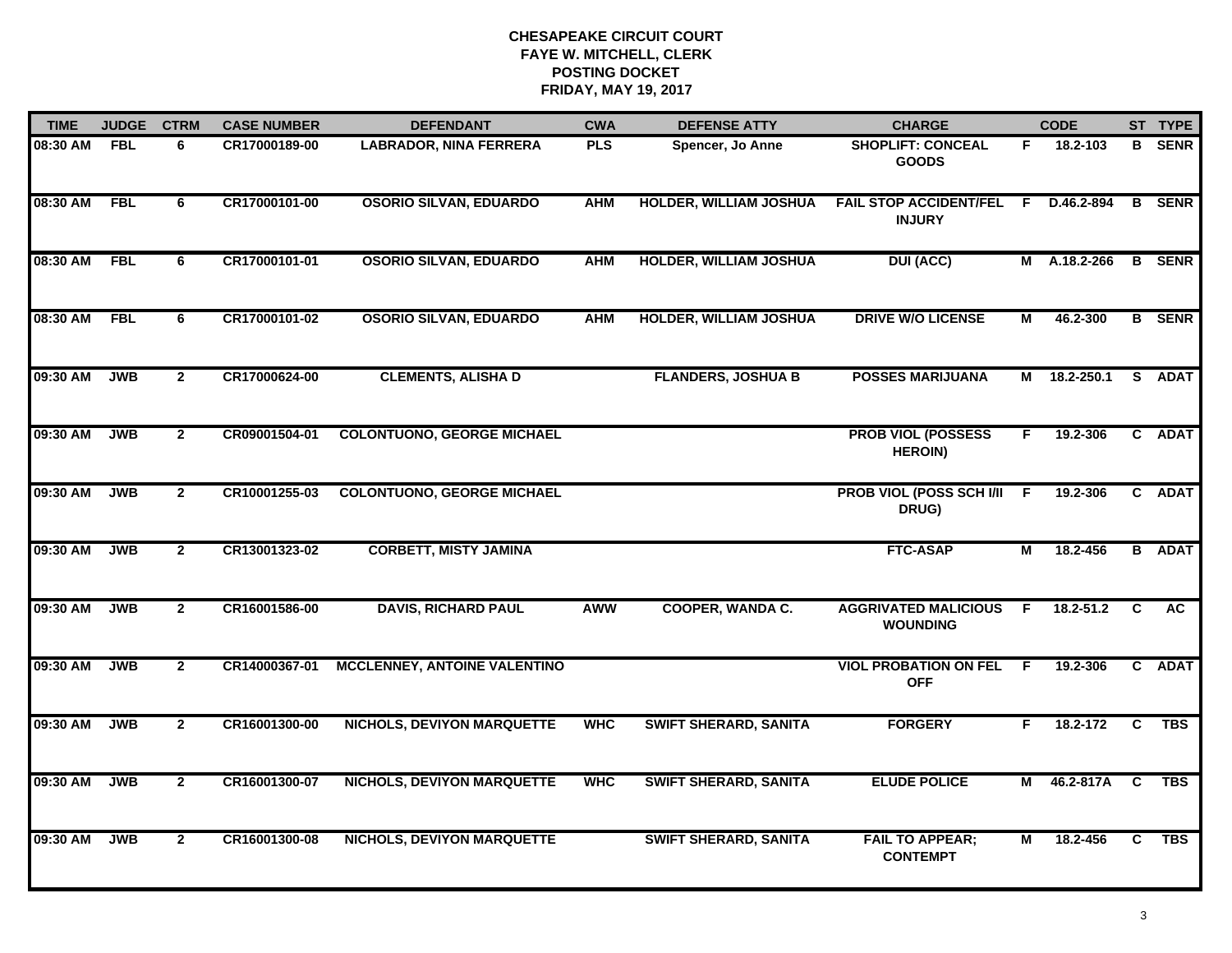| <b>TIME</b> | <b>JUDGE</b> | <b>CTRM</b>    | <b>CASE NUMBER</b> | <b>DEFENDANT</b>                    | <b>CWA</b> | <b>DEFENSE ATTY</b>           | <b>CHARGE</b>                                  |     | <b>CODE</b>  |                | ST TYPE       |
|-------------|--------------|----------------|--------------------|-------------------------------------|------------|-------------------------------|------------------------------------------------|-----|--------------|----------------|---------------|
| 08:30 AM    | <b>FBL</b>   | 6              | CR17000189-00      | <b>LABRADOR, NINA FERRERA</b>       | <b>PLS</b> | Spencer, Jo Anne              | <b>SHOPLIFT: CONCEAL</b><br><b>GOODS</b>       | F.  | 18.2-103     | B.             | <b>SENR</b>   |
| 08:30 AM    | FBL          | 6              | CR17000101-00      | <b>OSORIO SILVAN, EDUARDO</b>       | <b>AHM</b> | <b>HOLDER, WILLIAM JOSHUA</b> | <b>FAIL STOP ACCIDENT/FEL</b><br><b>INJURY</b> | -F. | D.46.2-894   |                | <b>B</b> SENR |
| 08:30 AM    | FBL          | 6              | CR17000101-01      | <b>OSORIO SILVAN, EDUARDO</b>       | <b>AHM</b> | <b>HOLDER, WILLIAM JOSHUA</b> | <b>DUI (ACC)</b>                               |     | M A.18.2-266 |                | <b>B</b> SENR |
| 08:30 AM    | <b>FBL</b>   | 6              | CR17000101-02      | <b>OSORIO SILVAN, EDUARDO</b>       | <b>AHM</b> | HOLDER, WILLIAM JOSHUA        | <b>DRIVE W/O LICENSE</b>                       | Μ   | 46.2-300     |                | <b>B</b> SENR |
| 09:30 AM    | <b>JWB</b>   | $\overline{2}$ | CR17000624-00      | <b>CLEMENTS, ALISHA D</b>           |            | <b>FLANDERS, JOSHUA B</b>     | <b>POSSES MARIJUANA</b>                        | м   | 18.2-250.1   |                | S ADAT        |
| 09:30 AM    | <b>JWB</b>   | $\mathbf{2}$   | CR09001504-01      | <b>COLONTUONO, GEORGE MICHAEL</b>   |            |                               | <b>PROB VIOL (POSSESS</b><br><b>HEROIN)</b>    | F.  | 19.2-306     |                | C ADAT        |
| 09:30 AM    | <b>JWB</b>   | $\overline{2}$ | CR10001255-03      | <b>COLONTUONO, GEORGE MICHAEL</b>   |            |                               | PROB VIOL (POSS SCH I/II F<br>DRUG)            |     | 19.2-306     |                | C ADAT        |
| 09:30 AM    | <b>JWB</b>   | $\mathbf{2}$   | CR13001323-02      | <b>CORBETT, MISTY JAMINA</b>        |            |                               | <b>FTC-ASAP</b>                                | М   | 18.2-456     |                | <b>B</b> ADAT |
| 09:30 AM    | <b>JWB</b>   | $\mathbf{2}$   | CR16001586-00      | <b>DAVIS, RICHARD PAUL</b>          | <b>AWW</b> | <b>COOPER, WANDA C.</b>       | <b>AGGRIVATED MALICIOUS</b><br><b>WOUNDING</b> | -F  | 18.2-51.2    | C              | <b>AC</b>     |
| 09:30 AM    | <b>JWB</b>   | $\mathbf{2}$   | CR14000367-01      | <b>MCCLENNEY, ANTOINE VALENTINO</b> |            |                               | <b>VIOL PROBATION ON FEL F</b><br><b>OFF</b>   |     | 19.2-306     |                | C ADAT        |
| 09:30 AM    | <b>JWB</b>   | $\mathbf{2}$   | CR16001300-00      | <b>NICHOLS, DEVIYON MARQUETTE</b>   | <b>WHC</b> | <b>SWIFT SHERARD, SANITA</b>  | <b>FORGERY</b>                                 | F.  | 18.2-172     | <b>C</b>       | <b>TBS</b>    |
| 09:30 AM    | <b>JWB</b>   | $\overline{2}$ | CR16001300-07      | <b>NICHOLS, DEVIYON MARQUETTE</b>   | <b>WHC</b> | <b>SWIFT SHERARD, SANITA</b>  | <b>ELUDE POLICE</b>                            | М   | 46.2-817A    | $\overline{c}$ | <b>TBS</b>    |
| 09:30 AM    | <b>JWB</b>   | $\mathbf{2}$   | CR16001300-08      | <b>NICHOLS, DEVIYON MARQUETTE</b>   |            | <b>SWIFT SHERARD, SANITA</b>  | <b>FAIL TO APPEAR;</b><br><b>CONTEMPT</b>      | М   | 18.2-456     | $\overline{c}$ | <b>TBS</b>    |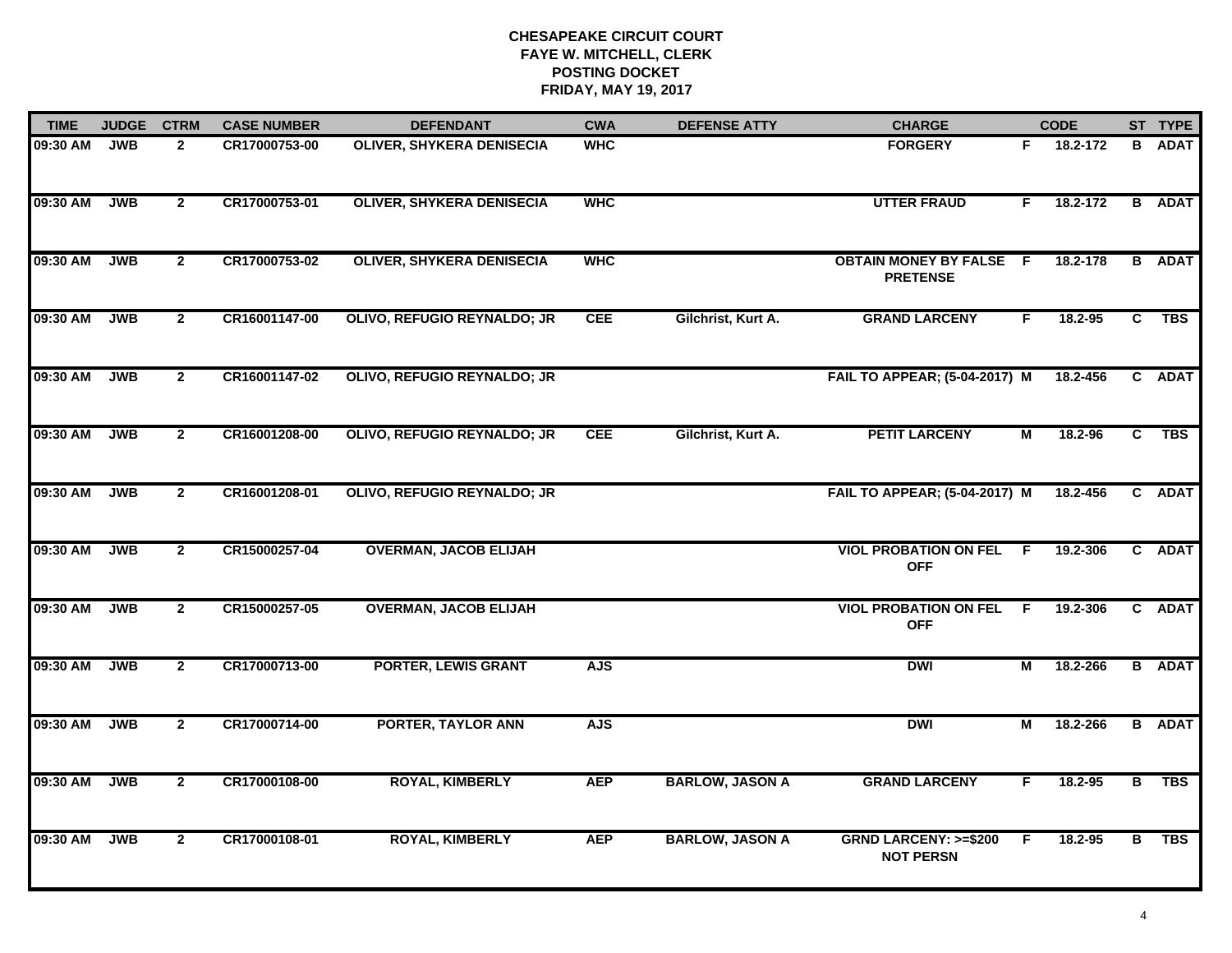| <b>TIME</b> | <b>JUDGE</b> | <b>CTRM</b>    | <b>CASE NUMBER</b> | <b>DEFENDANT</b>                 | <b>CWA</b> | <b>DEFENSE ATTY</b>    | <b>CHARGE</b>                                       |     | <b>CODE</b> |                | ST TYPE       |
|-------------|--------------|----------------|--------------------|----------------------------------|------------|------------------------|-----------------------------------------------------|-----|-------------|----------------|---------------|
| 09:30 AM    | <b>JWB</b>   | $\mathbf{2}$   | CR17000753-00      | <b>OLIVER, SHYKERA DENISECIA</b> | <b>WHC</b> |                        | <b>FORGERY</b>                                      | F.  | 18.2-172    | B              | <b>ADAT</b>   |
| 09:30 AM    | <b>JWB</b>   | $\mathbf{2}$   | CR17000753-01      | <b>OLIVER, SHYKERA DENISECIA</b> | <b>WHC</b> |                        | <b>UTTER FRAUD</b>                                  | F.  | 18.2-172    |                | <b>B</b> ADAT |
| 09:30 AM    | JWB          | $\overline{2}$ | CR17000753-02      | <b>OLIVER, SHYKERA DENISECIA</b> | <b>WHC</b> |                        | <b>OBTAIN MONEY BY FALSE F</b><br><b>PRETENSE</b>   |     | 18.2-178    |                | <b>B</b> ADAT |
| 09:30 AM    | <b>JWB</b>   | $\mathbf{2}$   | CR16001147-00      | OLIVO, REFUGIO REYNALDO; JR      | <b>CEE</b> | Gilchrist, Kurt A.     | <b>GRAND LARCENY</b>                                | F.  | $18.2 - 95$ | C              | <b>TBS</b>    |
| 09:30 AM    | <b>JWB</b>   | $\mathbf{2}$   | CR16001147-02      | OLIVO, REFUGIO REYNALDO; JR      |            |                        | <b>FAIL TO APPEAR; (5-04-2017) M</b>                |     | 18.2-456    |                | C ADAT        |
| 09:30 AM    | <b>JWB</b>   | $\mathbf{2}$   | CR16001208-00      | OLIVO, REFUGIO REYNALDO; JR      | <b>CEE</b> | Gilchrist, Kurt A.     | <b>PETIT LARCENY</b>                                | М   | 18.2-96     |                | C TBS         |
| 09:30 AM    | <b>JWB</b>   | $\mathbf{2}$   | CR16001208-01      | OLIVO, REFUGIO REYNALDO; JR      |            |                        | FAIL TO APPEAR; (5-04-2017) M                       |     | 18.2-456    |                | C ADAT        |
| 09:30 AM    | JWB          | $\mathbf{2}$   | CR15000257-04      | <b>OVERMAN, JACOB ELIJAH</b>     |            |                        | <b>VIOL PROBATION ON FEL F</b><br><b>OFF</b>        |     | 19.2-306    |                | C ADAT        |
| 09:30 AM    | <b>JWB</b>   | $\mathbf{2}$   | CR15000257-05      | <b>OVERMAN, JACOB ELIJAH</b>     |            |                        | <b>VIOL PROBATION ON FEL</b><br><b>OFF</b>          | - F | 19.2-306    |                | C ADAT        |
| 09:30 AM    | <b>JWB</b>   | $\mathbf{2}$   | CR17000713-00      | <b>PORTER, LEWIS GRANT</b>       | <b>AJS</b> |                        | <b>DWI</b>                                          | М   | 18.2-266    |                | <b>B</b> ADAT |
| 09:30 AM    | <b>JWB</b>   | $\mathbf{2}$   | CR17000714-00      | <b>PORTER, TAYLOR ANN</b>        | <b>AJS</b> |                        | <b>DWI</b>                                          | М   | 18.2-266    |                | <b>B</b> ADAT |
| 09:30 AM    | <b>JWB</b>   | $\mathbf{2}$   | CR17000108-00      | <b>ROYAL, KIMBERLY</b>           | <b>AEP</b> | <b>BARLOW, JASON A</b> | <b>GRAND LARCENY</b>                                | F.  | 18.2-95     | $\overline{B}$ | <b>TBS</b>    |
| 09:30 AM    | <b>JWB</b>   | $\mathbf{2}$   | CR17000108-01      | <b>ROYAL, KIMBERLY</b>           | <b>AEP</b> | <b>BARLOW, JASON A</b> | <b>GRND LARCENY: &gt;=\$200</b><br><b>NOT PERSN</b> | E   | 18.2-95     | в              | <b>TBS</b>    |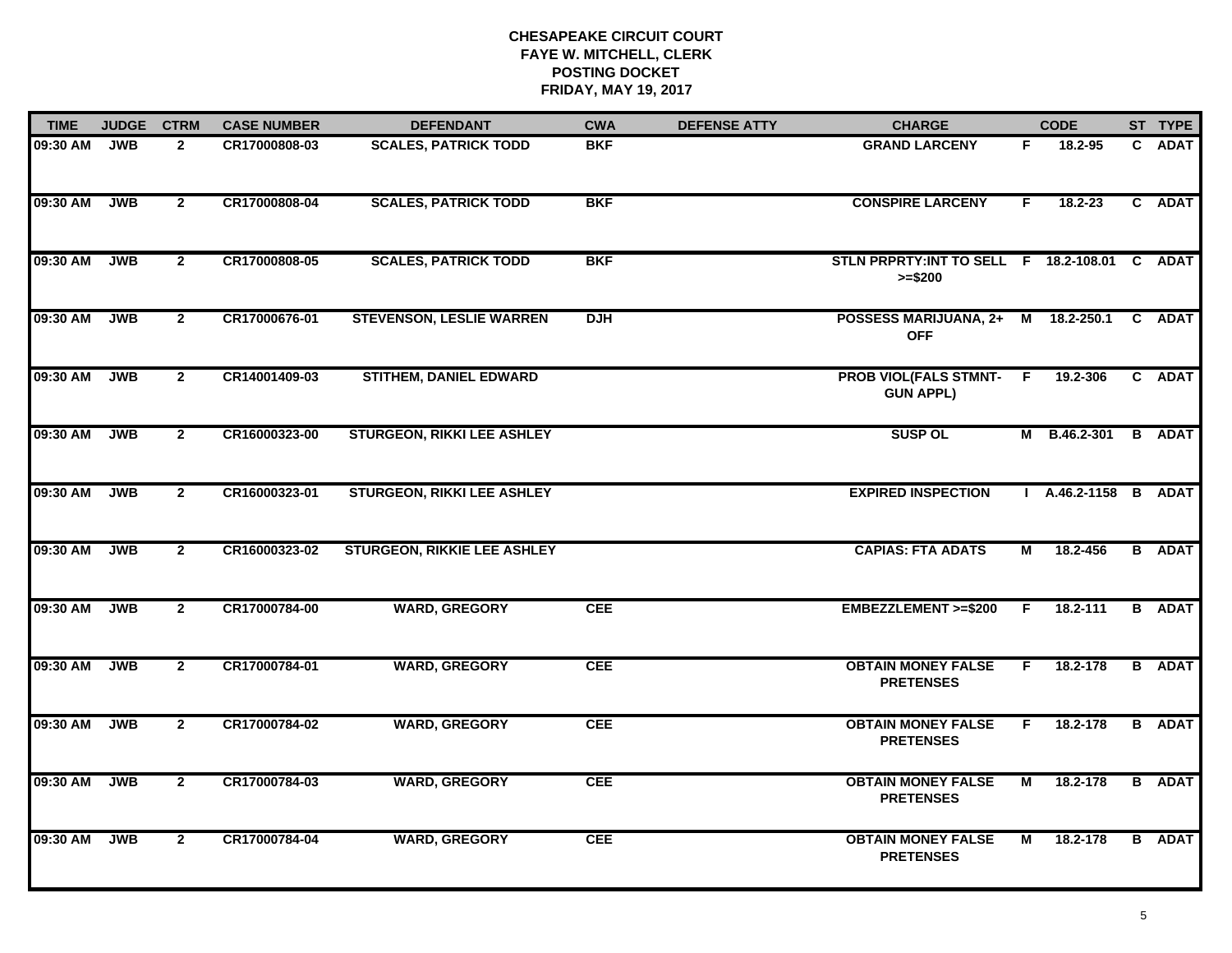| <b>TIME</b> | <b>JUDGE</b> | <b>CTRM</b>    | <b>CASE NUMBER</b> | <b>DEFENDANT</b>                   | <b>CWA</b> | <b>DEFENSE ATTY</b> | <b>CHARGE</b>                                             |                | <b>CODE</b>          | ST TYPE       |
|-------------|--------------|----------------|--------------------|------------------------------------|------------|---------------------|-----------------------------------------------------------|----------------|----------------------|---------------|
| 09:30 AM    | <b>JWB</b>   | $\mathbf{2}$   | CR17000808-03      | <b>SCALES, PATRICK TODD</b>        | <b>BKF</b> |                     | <b>GRAND LARCENY</b>                                      | F.             | 18.2-95              | C ADAT        |
| 09:30 AM    | <b>JWB</b>   | $\overline{2}$ | CR17000808-04      | <b>SCALES, PATRICK TODD</b>        | <b>BKF</b> |                     | <b>CONSPIRE LARCENY</b>                                   | F.             | $18.2 - 23$          | C ADAT        |
| 09:30 AM    | JWB          | $\overline{2}$ | CR17000808-05      | <b>SCALES, PATRICK TODD</b>        | <b>BKF</b> |                     | STLN PRPRTY:INT TO SELL F 18.2-108.01 C ADAT<br>$>= $200$ |                |                      |               |
| 09:30 AM    | <b>JWB</b>   | $\mathbf{2}$   | CR17000676-01      | <b>STEVENSON, LESLIE WARREN</b>    | <b>DJH</b> |                     | POSSESS MARIJUANA, 2+ M 18.2-250.1<br><b>OFF</b>          |                |                      | C ADAT        |
| 09:30 AM    | <b>JWB</b>   | $\overline{2}$ | CR14001409-03      | <b>STITHEM, DANIEL EDWARD</b>      |            |                     | <b>PROB VIOL(FALS STMNT-</b><br><b>GUN APPL)</b>          | F.             | 19.2-306             | C ADAT        |
| 09:30 AM    | <b>JWB</b>   | $\mathbf{2}$   | CR16000323-00      | <b>STURGEON, RIKKI LEE ASHLEY</b>  |            |                     | <b>SUSP OL</b>                                            |                | M B.46.2-301 B ADAT  |               |
| 09:30 AM    | <b>JWB</b>   | $\overline{2}$ | CR16000323-01      | <b>STURGEON, RIKKI LEE ASHLEY</b>  |            |                     | <b>EXPIRED INSPECTION</b>                                 |                | I A.46.2-1158 B ADAT |               |
| 09:30 AM    | <b>JWB</b>   | $\overline{2}$ | CR16000323-02      | <b>STURGEON, RIKKIE LEE ASHLEY</b> |            |                     | <b>CAPIAS: FTA ADATS</b>                                  | М              | 18.2-456             | <b>B</b> ADAT |
| 09:30 AM    | <b>JWB</b>   | $\overline{2}$ | CR17000784-00      | <b>WARD, GREGORY</b>               | <b>CEE</b> |                     | EMBEZZLEMENT >=\$200                                      | F.             | 18.2-111             | <b>B</b> ADAT |
| 09:30 AM    | <b>JWB</b>   | $\mathbf{2}$   | CR17000784-01      | <b>WARD, GREGORY</b>               | <b>CEE</b> |                     | <b>OBTAIN MONEY FALSE</b><br><b>PRETENSES</b>             | F.             | 18.2-178             | <b>B</b> ADAT |
| 09:30 AM    | <b>JWB</b>   | $\overline{2}$ | CR17000784-02      | <b>WARD, GREGORY</b>               | <b>CEE</b> |                     | <b>OBTAIN MONEY FALSE</b><br><b>PRETENSES</b>             | F.             | 18.2-178             | <b>B</b> ADAT |
| 09:30 AM    | <b>JWB</b>   | $\overline{2}$ | CR17000784-03      | <b>WARD, GREGORY</b>               | <b>CEE</b> |                     | <b>OBTAIN MONEY FALSE</b><br><b>PRETENSES</b>             | $\overline{M}$ | 18.2-178             | <b>B</b> ADAT |
| 09:30 AM    | <b>JWB</b>   | $\overline{2}$ | CR17000784-04      | <b>WARD, GREGORY</b>               | <b>CEE</b> |                     | <b>OBTAIN MONEY FALSE</b><br><b>PRETENSES</b>             | М              | 18.2-178             | <b>B</b> ADAT |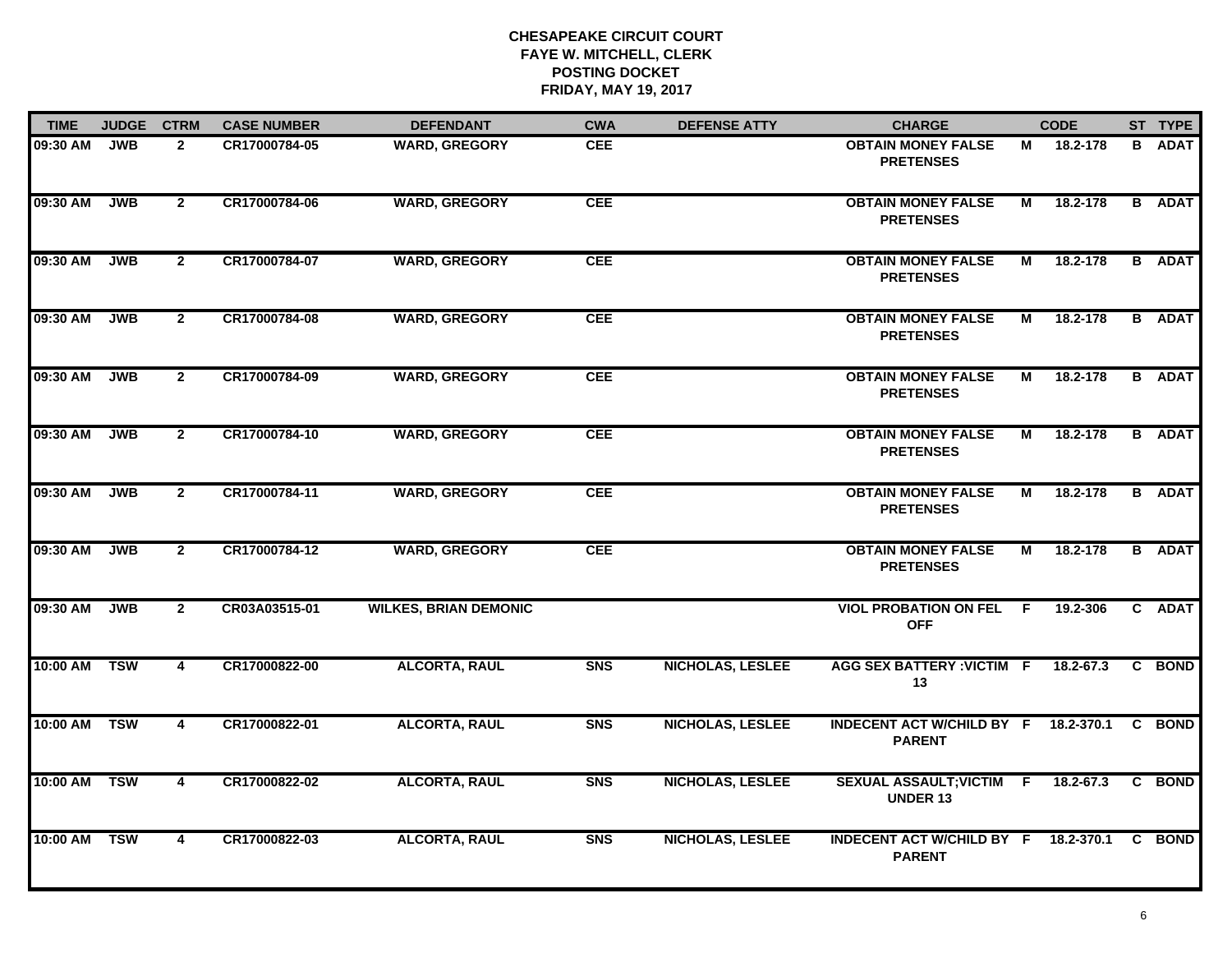| <b>TIME</b>  | <b>JUDGE</b> | <b>CTRM</b>    | <b>CASE NUMBER</b> | <b>DEFENDANT</b>             | <b>CWA</b>     | <b>DEFENSE ATTY</b>     | <b>CHARGE</b>                                         |                | <b>CODE</b> | ST TYPE       |
|--------------|--------------|----------------|--------------------|------------------------------|----------------|-------------------------|-------------------------------------------------------|----------------|-------------|---------------|
| 09:30 AM     | <b>JWB</b>   | $\mathbf{2}$   | CR17000784-05      | <b>WARD, GREGORY</b>         | <b>CEE</b>     |                         | <b>OBTAIN MONEY FALSE</b><br><b>PRETENSES</b>         | М              | 18.2-178    | <b>B</b> ADAT |
| 09:30 AM     | <b>JWB</b>   | $\overline{2}$ | CR17000784-06      | <b>WARD, GREGORY</b>         | CEE            |                         | <b>OBTAIN MONEY FALSE</b><br><b>PRETENSES</b>         | М              | 18.2-178    | <b>B</b> ADAT |
| 09:30 AM     | <b>JWB</b>   | $\overline{2}$ | CR17000784-07      | <b>WARD, GREGORY</b>         | <b>CEE</b>     |                         | <b>OBTAIN MONEY FALSE</b><br><b>PRETENSES</b>         | М              | 18.2-178    | <b>B</b> ADAT |
| 09:30 AM     | <b>JWB</b>   | $\mathbf{2}$   | CR17000784-08      | <b>WARD, GREGORY</b>         | <b>CEE</b>     |                         | <b>OBTAIN MONEY FALSE</b><br><b>PRETENSES</b>         | М              | 18.2-178    | <b>B</b> ADAT |
| 09:30 AM     | <b>JWB</b>   | $\overline{2}$ | CR17000784-09      | <b>WARD, GREGORY</b>         | <b>CEE</b>     |                         | <b>OBTAIN MONEY FALSE</b><br><b>PRETENSES</b>         | М              | 18.2-178    | <b>B</b> ADAT |
| 09:30 AM     | <b>JWB</b>   | $\mathbf{2}$   | CR17000784-10      | <b>WARD, GREGORY</b>         | <b>CEE</b>     |                         | <b>OBTAIN MONEY FALSE</b><br><b>PRETENSES</b>         | М              | 18.2-178    | <b>B</b> ADAT |
| 09:30 AM     | <b>JWB</b>   | $\overline{2}$ | CR17000784-11      | <b>WARD, GREGORY</b>         | <b>CEE</b>     |                         | <b>OBTAIN MONEY FALSE</b><br><b>PRETENSES</b>         | $\overline{M}$ | 18.2-178    | <b>B</b> ADAT |
| 09:30 AM     | <b>JWB</b>   | $\overline{2}$ | CR17000784-12      | <b>WARD, GREGORY</b>         | <b>CEE</b>     |                         | <b>OBTAIN MONEY FALSE</b><br><b>PRETENSES</b>         | М              | 18.2-178    | <b>B</b> ADAT |
| 09:30 AM     | <b>JWB</b>   | $\mathbf{2}$   | CR03A03515-01      | <b>WILKES, BRIAN DEMONIC</b> |                |                         | <b>VIOL PROBATION ON FEL</b><br><b>OFF</b>            | - F            | 19.2-306    | C ADAT        |
| 10:00 AM     | <b>TSW</b>   | $\overline{4}$ | CR17000822-00      | <b>ALCORTA, RAUL</b>         | S <sub>N</sub> | <b>NICHOLAS, LESLEE</b> | <b>AGG SEX BATTERY : VICTIM F</b><br>13               |                | 18.2-67.3   | C BOND        |
| 10:00 AM TSW |              | $\overline{4}$ | CR17000822-01      | <b>ALCORTA, RAUL</b>         | <b>SNS</b>     | NICHOLAS, LESLEE        | INDECENT ACT W/CHILD BY F 18.2-370.1<br><b>PARENT</b> |                |             | C BOND        |
| 10:00 AM TSW |              | $\overline{4}$ | CR17000822-02      | <b>ALCORTA, RAUL</b>         | S <sub>N</sub> | <b>NICHOLAS, LESLEE</b> | SEXUAL ASSAULT; VICTIM F<br><b>UNDER 13</b>           |                | 18.2-67.3   | C BOND        |
| 10:00 AM     | <b>TSW</b>   | $\overline{4}$ | CR17000822-03      | <b>ALCORTA, RAUL</b>         | <b>SNS</b>     | <b>NICHOLAS, LESLEE</b> | INDECENT ACT W/CHILD BY F 18.2-370.1<br><b>PARENT</b> |                |             | C BOND        |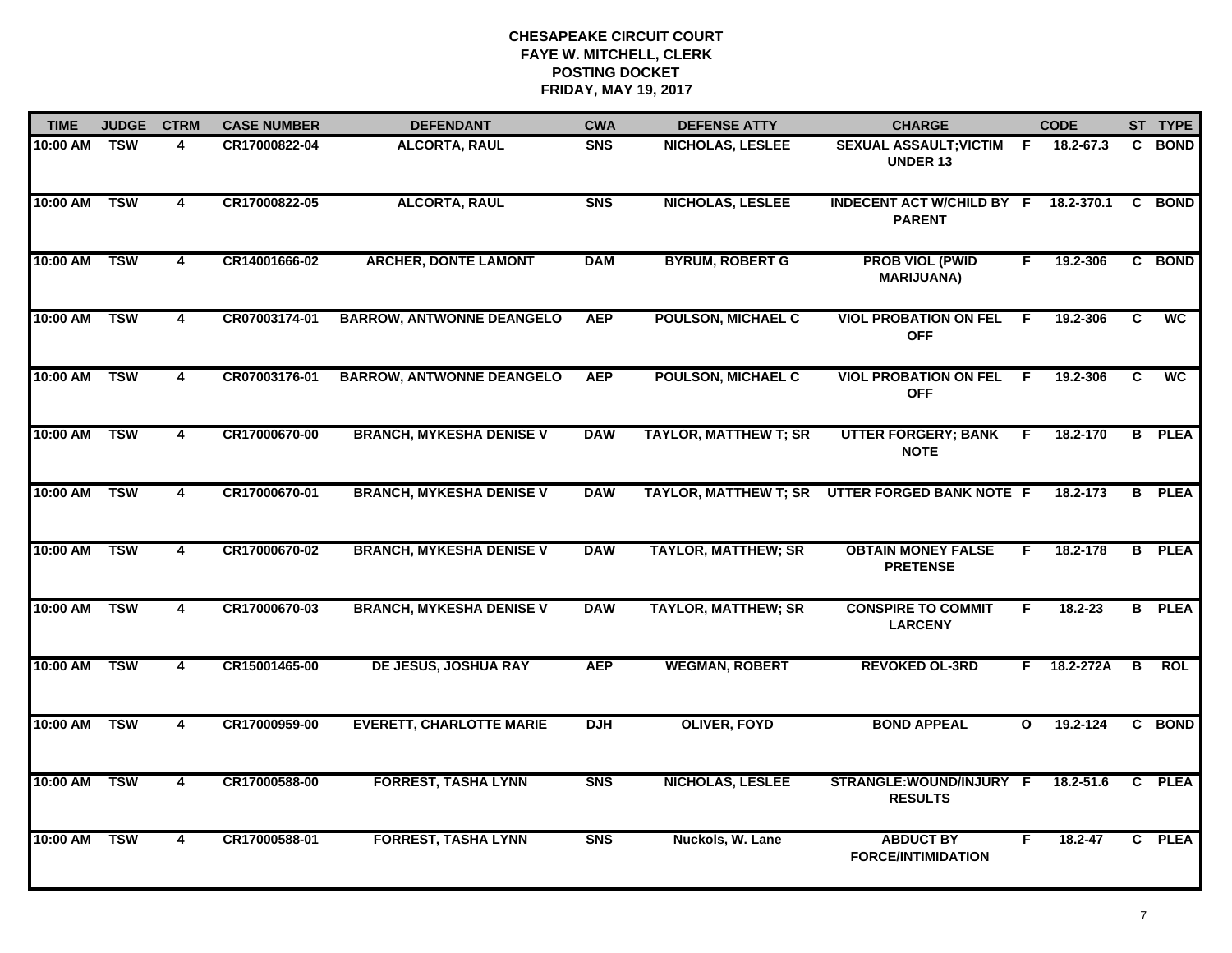| <b>TIME</b>  | <b>JUDGE</b> | <b>CTRM</b>             | <b>CASE NUMBER</b> | <b>DEFENDANT</b>                 | <b>CWA</b>     | <b>DEFENSE ATTY</b>          | <b>CHARGE</b>                                     |              | <b>CODE</b> |                | ST TYPE       |
|--------------|--------------|-------------------------|--------------------|----------------------------------|----------------|------------------------------|---------------------------------------------------|--------------|-------------|----------------|---------------|
| 10:00 AM TSW |              | 4                       | CR17000822-04      | <b>ALCORTA, RAUL</b>             | <b>SNS</b>     | <b>NICHOLAS, LESLEE</b>      | <b>SEXUAL ASSAULT; VICTIM</b><br><b>UNDER 13</b>  | -F.          | 18.2-67.3   |                | C BOND        |
| 10:00 AM     | <b>TSW</b>   | $\overline{\mathbf{4}}$ | CR17000822-05      | <b>ALCORTA, RAUL</b>             | S <sub>N</sub> | <b>NICHOLAS, LESLEE</b>      | <b>INDECENT ACT W/CHILD BY F</b><br><b>PARENT</b> |              | 18.2-370.1  | C              | <b>BOND</b>   |
| 10:00 AM     | <b>TSW</b>   | 4                       | CR14001666-02      | <b>ARCHER, DONTE LAMONT</b>      | <b>DAM</b>     | <b>BYRUM, ROBERT G</b>       | <b>PROB VIOL (PWID</b><br><b>MARIJUANA)</b>       | F.           | 19.2-306    |                | C BOND        |
| 10:00 AM     | <b>TSW</b>   | 4                       | CR07003174-01      | <b>BARROW, ANTWONNE DEANGELO</b> | <b>AEP</b>     | <b>POULSON, MICHAEL C</b>    | <b>VIOL PROBATION ON FEL</b><br><b>OFF</b>        | F.           | 19.2-306    | C              | <b>WC</b>     |
| 10:00 AM     | <b>TSW</b>   | 4                       | CR07003176-01      | <b>BARROW, ANTWONNE DEANGELO</b> | <b>AEP</b>     | <b>POULSON, MICHAEL C</b>    | <b>VIOL PROBATION ON FEL</b><br><b>OFF</b>        | F.           | 19.2-306    | C              | <b>WC</b>     |
| 10:00 AM     | <b>TSW</b>   | 4                       | CR17000670-00      | <b>BRANCH, MYKESHA DENISE V</b>  | <b>DAW</b>     | <b>TAYLOR, MATTHEW T; SR</b> | <b>UTTER FORGERY; BANK</b><br><b>NOTE</b>         | F.           | 18.2-170    |                | <b>B</b> PLEA |
| 10:00 AM     | <b>TSW</b>   | $\overline{\mathbf{4}}$ | CR17000670-01      | <b>BRANCH, MYKESHA DENISE V</b>  | <b>DAW</b>     | <b>TAYLOR, MATTHEW T; SR</b> | UTTER FORGED BANK NOTE F                          |              | 18.2-173    | $\overline{B}$ | <b>PLEA</b>   |
| 10:00 AM     | <b>TSW</b>   | $\overline{\mathbf{4}}$ | CR17000670-02      | <b>BRANCH, MYKESHA DENISE V</b>  | <b>DAW</b>     | <b>TAYLOR, MATTHEW; SR</b>   | <b>OBTAIN MONEY FALSE</b><br><b>PRETENSE</b>      | F.           | 18.2-178    |                | <b>B</b> PLEA |
| 10:00 AM     | <b>TSW</b>   | 4                       | CR17000670-03      | <b>BRANCH, MYKESHA DENISE V</b>  | <b>DAW</b>     | <b>TAYLOR, MATTHEW; SR</b>   | <b>CONSPIRE TO COMMIT</b><br><b>LARCENY</b>       | F.           | 18.2-23     |                | <b>B</b> PLEA |
| 10:00 AM     | <b>TSW</b>   | $\overline{\mathbf{4}}$ | CR15001465-00      | <b>DE JESUS, JOSHUA RAY</b>      | <b>AEP</b>     | <b>WEGMAN, ROBERT</b>        | <b>REVOKED OL-3RD</b>                             | F.           | 18.2-272A   | B              | <b>ROL</b>    |
| 10:00 AM     | <b>TSW</b>   | 4                       | CR17000959-00      | <b>EVERETT, CHARLOTTE MARIE</b>  | <b>DJH</b>     | <b>OLIVER, FOYD</b>          | <b>BOND APPEAL</b>                                | $\mathbf{o}$ | 19.2-124    |                | C BOND        |
| 10:00 AM     | <b>TSW</b>   | $\overline{\mathbf{4}}$ | CR17000588-00      | <b>FORREST, TASHA LYNN</b>       | <b>SNS</b>     | <b>NICHOLAS, LESLEE</b>      | STRANGLE:WOUND/INJURY F<br><b>RESULTS</b>         |              | 18.2-51.6   | $\overline{c}$ | <b>PLEA</b>   |
| 10:00 AM     | <b>TSW</b>   | 4                       | CR17000588-01      | <b>FORREST, TASHA LYNN</b>       | <b>SNS</b>     | Nuckols, W. Lane             | <b>ABDUCT BY</b><br><b>FORCE/INTIMIDATION</b>     | F.           | 18.2-47     |                | C PLEA        |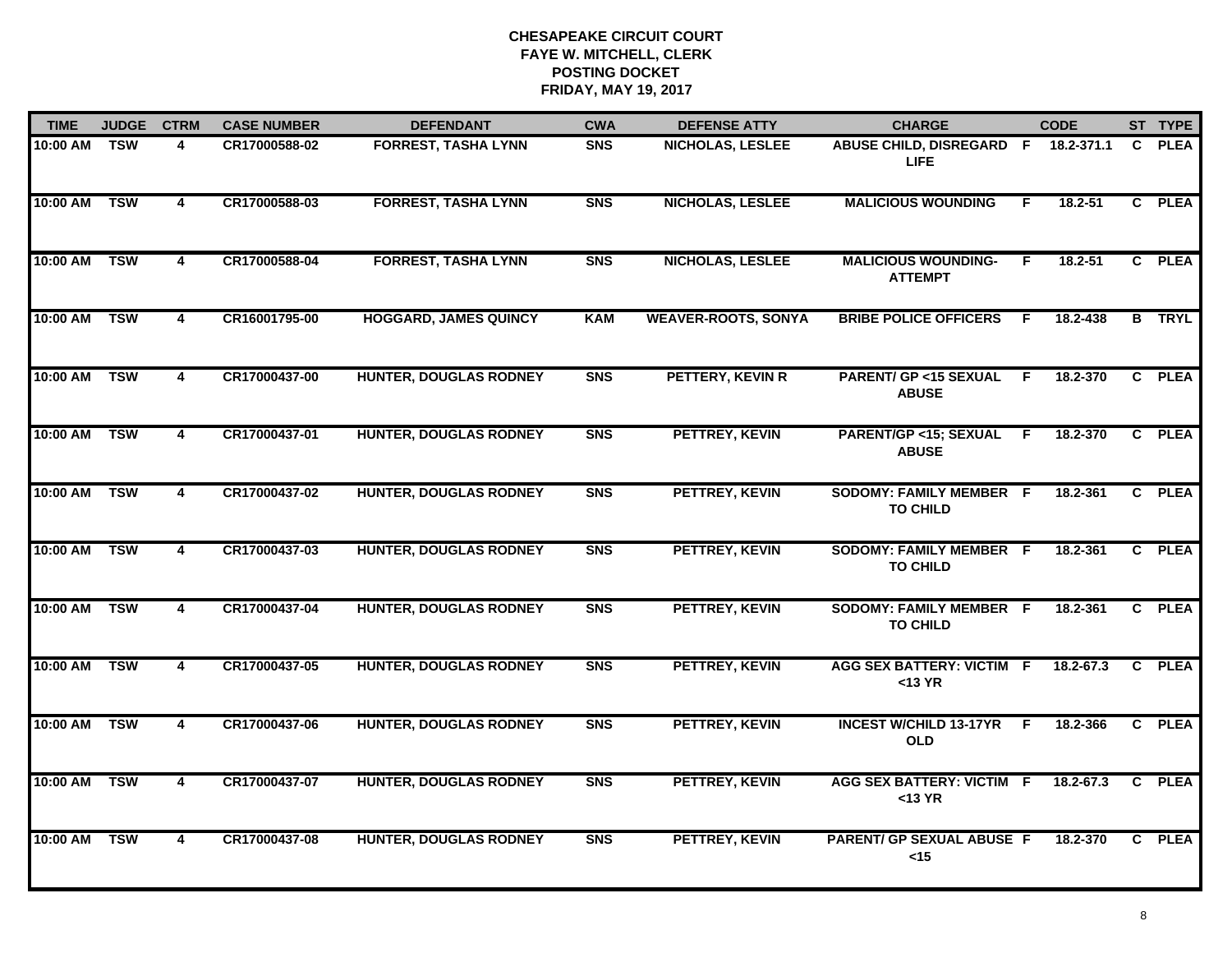| <b>TIME</b>  | <b>JUDGE</b> | <b>CTRM</b>             | <b>CASE NUMBER</b> | <b>DEFENDANT</b>              | <b>CWA</b> | <b>DEFENSE ATTY</b>        | <b>CHARGE</b>                                     |     | <b>CODE</b>   |              | ST TYPE       |
|--------------|--------------|-------------------------|--------------------|-------------------------------|------------|----------------------------|---------------------------------------------------|-----|---------------|--------------|---------------|
| 10:00 AM TSW |              | 4                       | CR17000588-02      | <b>FORREST, TASHA LYNN</b>    | <b>SNS</b> | NICHOLAS, LESLEE           | ABUSE CHILD, DISREGARD F<br>LIFE.                 |     | 18.2-371.1    | C.           | <b>PLEA</b>   |
| 10:00 AM     | <b>TSW</b>   | $\overline{\mathbf{4}}$ | CR17000588-03      | <b>FORREST, TASHA LYNN</b>    | <b>SNS</b> | <b>NICHOLAS, LESLEE</b>    | <b>MALICIOUS WOUNDING</b>                         | F   | 18.2-51       | $\mathbf{c}$ | <b>PLEA</b>   |
| 10:00 AM     | <b>TSW</b>   | 4                       | CR17000588-04      | <b>FORREST, TASHA LYNN</b>    | <b>SNS</b> | <b>NICHOLAS, LESLEE</b>    | <b>MALICIOUS WOUNDING-</b><br><b>ATTEMPT</b>      | F   | $18.2 - 51$   |              | C PLEA        |
| 10:00 AM     | <b>TSW</b>   | 4                       | CR16001795-00      | <b>HOGGARD, JAMES QUINCY</b>  | <b>KAM</b> | <b>WEAVER-ROOTS, SONYA</b> | <b>BRIBE POLICE OFFICERS</b>                      | -F. | 18.2-438      |              | <b>B</b> TRYL |
| 10:00 AM     | <b>TSW</b>   | 4                       | CR17000437-00      | <b>HUNTER, DOUGLAS RODNEY</b> | <b>SNS</b> | PETTERY, KEVIN R           | <b>PARENT/ GP &lt;15 SEXUAL</b><br><b>ABUSE</b>   | F.  | 18.2-370      | $\mathbf{c}$ | <b>PLEA</b>   |
| 10:00 AM     | <b>TSW</b>   | 4                       | CR17000437-01      | <b>HUNTER, DOUGLAS RODNEY</b> | <b>SNS</b> | PETTREY, KEVIN             | <b>PARENT/GP &lt;15; SEXUAL</b><br><b>ABUSE</b>   | F.  | 18.2-370      |              | C PLEA        |
| 10:00 AM     | <b>TSW</b>   | $\overline{4}$          | CR17000437-02      | <b>HUNTER, DOUGLAS RODNEY</b> | <b>SNS</b> | PETTREY, KEVIN             | <b>SODOMY: FAMILY MEMBER F</b><br><b>TO CHILD</b> |     | 18.2-361      |              | C PLEA        |
| 10:00 AM     | <b>TSW</b>   | 4                       | CR17000437-03      | <b>HUNTER, DOUGLAS RODNEY</b> | <b>SNS</b> | PETTREY, KEVIN             | <b>SODOMY: FAMILY MEMBER F</b><br><b>TO CHILD</b> |     | 18.2-361      | $\mathbf{c}$ | <b>PLEA</b>   |
| 10:00 AM     | <b>TSW</b>   | 4                       | CR17000437-04      | <b>HUNTER, DOUGLAS RODNEY</b> | <b>SNS</b> | PETTREY, KEVIN             | <b>SODOMY: FAMILY MEMBER F</b><br><b>TO CHILD</b> |     | 18.2-361      | $\mathbf{C}$ | <b>PLEA</b>   |
| 10:00 AM     | <b>TSW</b>   | 4                       | CR17000437-05      | <b>HUNTER, DOUGLAS RODNEY</b> | <b>SNS</b> | PETTREY, KEVIN             | <b>AGG SEX BATTERY: VICTIM F</b><br>$<$ 13 YR     |     | 18.2-67.3     | $\mathbf{C}$ | <b>PLEA</b>   |
| 10:00 AM     | <b>TSW</b>   | $\overline{\mathbf{4}}$ | CR17000437-06      | <b>HUNTER, DOUGLAS RODNEY</b> | <b>SNS</b> | PETTREY, KEVIN             | <b>INCEST W/CHILD 13-17YR</b><br><b>OLD</b>       | -F  | 18.2-366      | $\mathbf{c}$ | <b>PLEA</b>   |
| 10:00 AM     | <b>TSW</b>   | 4                       | CR17000437-07      | <b>HUNTER, DOUGLAS RODNEY</b> | <b>SNS</b> | PETTREY, KEVIN             | <b>AGG SEX BATTERY: VICTIM F</b><br>$<$ 13 YR     |     | $18.2 - 67.3$ | C            | <b>PLEA</b>   |
| 10:00 AM     | <b>TSW</b>   | 4                       | CR17000437-08      | <b>HUNTER, DOUGLAS RODNEY</b> | <b>SNS</b> | PETTREY, KEVIN             | <b>PARENT/ GP SEXUAL ABUSE F</b><br>$<$ 15        |     | 18.2-370      | $\mathbf{c}$ | <b>PLEA</b>   |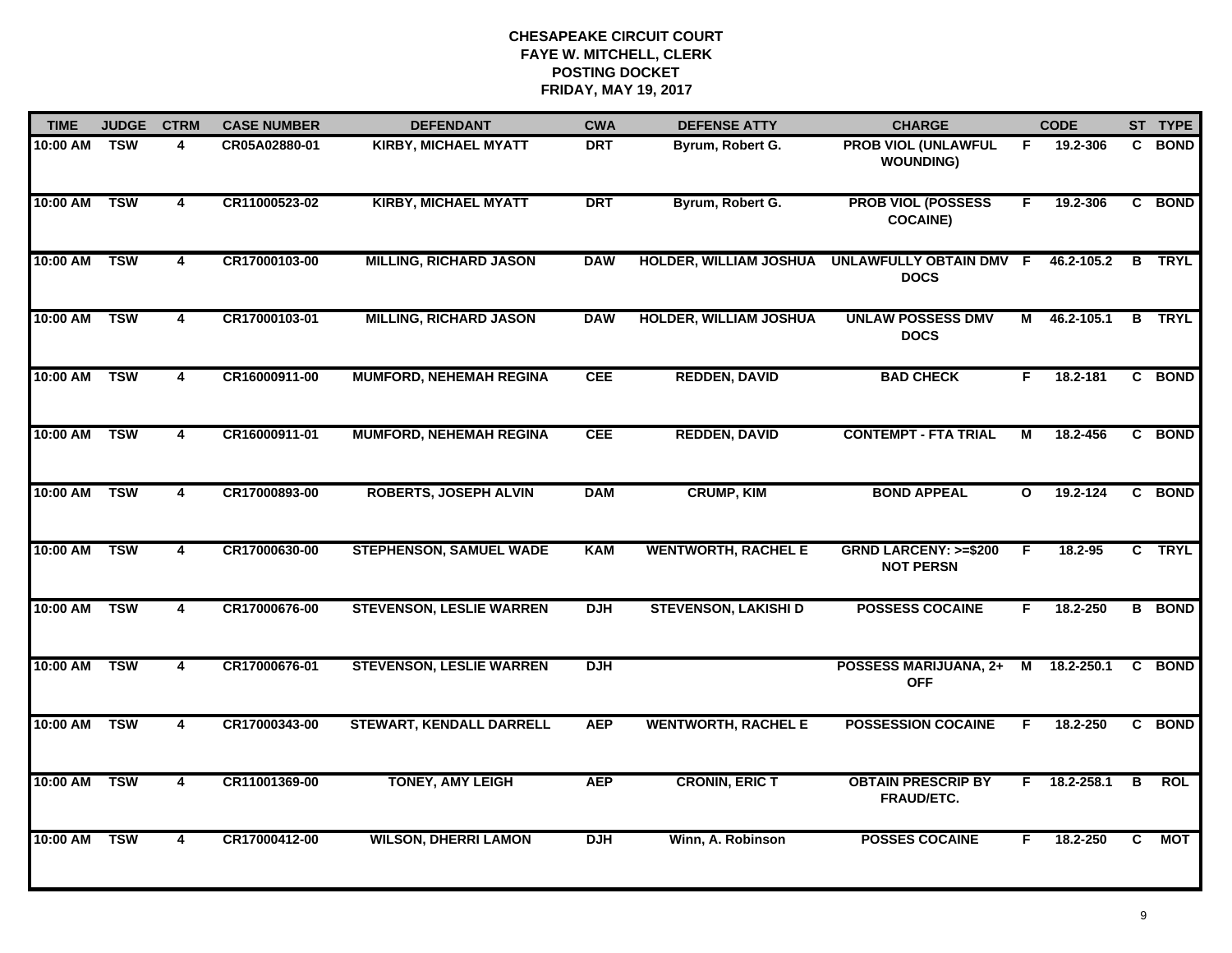| <b>TIME</b>  | <b>JUDGE</b> | <b>CTRM</b>             | <b>CASE NUMBER</b> | <b>DEFENDANT</b>                | <b>CWA</b> | <b>DEFENSE ATTY</b>           | <b>CHARGE</b>                                       |              | <b>CODE</b> |    | ST TYPE       |
|--------------|--------------|-------------------------|--------------------|---------------------------------|------------|-------------------------------|-----------------------------------------------------|--------------|-------------|----|---------------|
| 10:00 AM TSW |              | 4                       | CR05A02880-01      | <b>KIRBY, MICHAEL MYATT</b>     | <b>DRT</b> | Byrum, Robert G.              | <b>PROB VIOL (UNLAWFUL</b><br><b>WOUNDING)</b>      | F.           | 19.2-306    |    | C BOND        |
| 10:00 AM     | <b>TSW</b>   | 4                       | CR11000523-02      | <b>KIRBY, MICHAEL MYATT</b>     | <b>DRT</b> | Byrum, Robert G.              | <b>PROB VIOL (POSSESS</b><br><b>COCAINE)</b>        | F.           | 19.2-306    |    | C BOND        |
| 10:00 AM     | <b>TSW</b>   | 4                       | CR17000103-00      | <b>MILLING, RICHARD JASON</b>   | <b>DAW</b> | <b>HOLDER, WILLIAM JOSHUA</b> | UNLAWFULLY OBTAIN DMV F<br><b>DOCS</b>              |              | 46.2-105.2  |    | <b>B</b> TRYL |
| 10:00 AM     | <b>TSW</b>   | 4                       | CR17000103-01      | <b>MILLING, RICHARD JASON</b>   | <b>DAW</b> | <b>HOLDER, WILLIAM JOSHUA</b> | <b>UNLAW POSSESS DMV</b><br><b>DOCS</b>             | М            | 46.2-105.1  | B  | <b>TRYL</b>   |
| 10:00 AM     | <b>TSW</b>   | 4                       | CR16000911-00      | <b>MUMFORD, NEHEMAH REGINA</b>  | <b>CEE</b> | <b>REDDEN, DAVID</b>          | <b>BAD CHECK</b>                                    | F.           | 18.2-181    |    | C BOND        |
| 10:00 AM     | <b>TSW</b>   | 4                       | CR16000911-01      | <b>MUMFORD, NEHEMAH REGINA</b>  | <b>CEE</b> | <b>REDDEN, DAVID</b>          | <b>CONTEMPT - FTA TRIAL</b>                         | М            | 18.2-456    |    | C BOND        |
| 10:00 AM     | TSW          | $\overline{\mathbf{4}}$ | CR17000893-00      | <b>ROBERTS, JOSEPH ALVIN</b>    | <b>DAM</b> | <b>CRUMP, KIM</b>             | <b>BOND APPEAL</b>                                  | $\mathbf{o}$ | 19.2-124    |    | C BOND        |
| 10:00 AM     | <b>TSW</b>   | 4                       | CR17000630-00      | <b>STEPHENSON, SAMUEL WADE</b>  | <b>KAM</b> | <b>WENTWORTH, RACHEL E</b>    | <b>GRND LARCENY: &gt;=\$200</b><br><b>NOT PERSN</b> | F            | 18.2-95     |    | C TRYL        |
| 10:00 AM     | <b>TSW</b>   | 4                       | CR17000676-00      | <b>STEVENSON, LESLIE WARREN</b> | <b>DJH</b> | <b>STEVENSON, LAKISHI D</b>   | <b>POSSESS COCAINE</b>                              | F.           | 18.2-250    |    | <b>B</b> BOND |
| 10:00 AM     | <b>TSW</b>   | 4                       | CR17000676-01      | <b>STEVENSON, LESLIE WARREN</b> | <b>DJH</b> |                               | <b>POSSESS MARIJUANA, 2+</b><br><b>OFF</b>          | M            | 18.2-250.1  |    | C BOND        |
| 10:00 AM     | <b>TSW</b>   | 4                       | CR17000343-00      | <b>STEWART, KENDALL DARRELL</b> | <b>AEP</b> | <b>WENTWORTH, RACHEL E</b>    | <b>POSSESSION COCAINE</b>                           | F            | 18.2-250    |    | C BOND        |
| 10:00 AM TSW |              | 4                       | CR11001369-00      | <b>TONEY, AMY LEIGH</b>         | <b>AEP</b> | <b>CRONIN, ERIC T</b>         | <b>OBTAIN PRESCRIP BY</b><br>FRAUD/ETC.             | F.           | 18.2-258.1  | B  | <b>ROL</b>    |
| 10:00 AM     | <b>TSW</b>   | $\overline{\mathbf{4}}$ | CR17000412-00      | <b>WILSON, DHERRI LAMON</b>     | <b>DJH</b> | Winn, A. Robinson             | <b>POSSES COCAINE</b>                               | F            | 18.2-250    | C. | MOT           |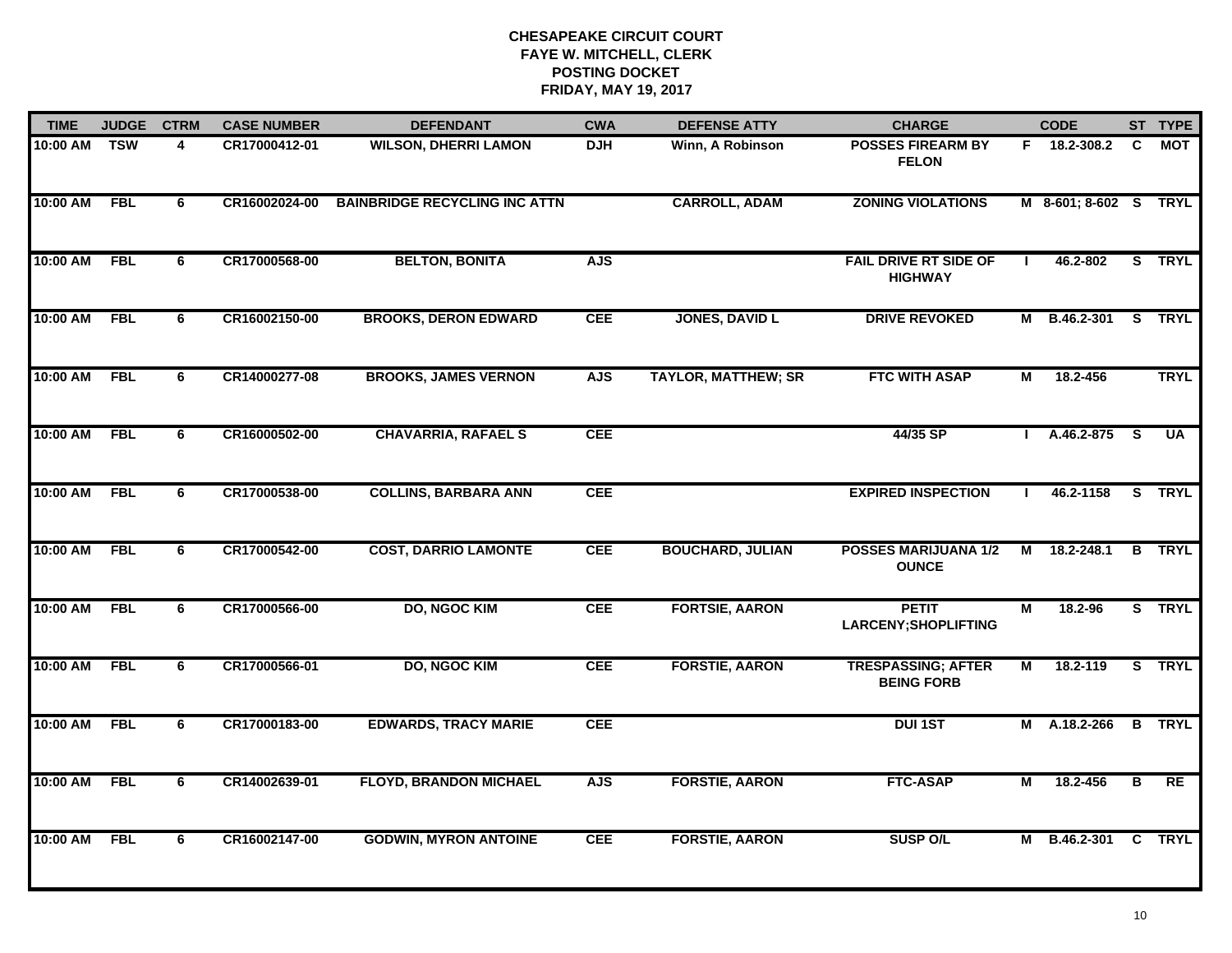| <b>TIME</b> | <b>JUDGE</b>              | <b>CTRM</b> | <b>CASE NUMBER</b> | <b>DEFENDANT</b>                     | <b>CWA</b> | <b>DEFENSE ATTY</b>        | <b>CHARGE</b>                                  |              | <b>CODE</b>           |                         | ST TYPE       |
|-------------|---------------------------|-------------|--------------------|--------------------------------------|------------|----------------------------|------------------------------------------------|--------------|-----------------------|-------------------------|---------------|
| 10:00 AM    | $\overline{\mathsf{TSW}}$ | 4           | CR17000412-01      | <b>WILSON, DHERRI LAMON</b>          | <b>DJH</b> | Winn, A Robinson           | <b>POSSES FIREARM BY</b><br><b>FELON</b>       |              | F 18.2-308.2          | C                       | MOT           |
| 10:00 AM    | <b>FBL</b>                | 6           | CR16002024-00      | <b>BAINBRIDGE RECYCLING INC ATTN</b> |            | <b>CARROLL, ADAM</b>       | <b>ZONING VIOLATIONS</b>                       |              | M 8-601; 8-602 S TRYL |                         |               |
| 10:00 AM    | <b>FBL</b>                | 6           | CR17000568-00      | <b>BELTON, BONITA</b>                | <b>AJS</b> |                            | <b>FAIL DRIVE RT SIDE OF</b><br><b>HIGHWAY</b> |              | 46.2-802              |                         | S TRYL        |
| 10:00 AM    | <b>FBL</b>                | 6           | CR16002150-00      | <b>BROOKS, DERON EDWARD</b>          | <b>CEE</b> | <b>JONES, DAVID L</b>      | <b>DRIVE REVOKED</b>                           |              | M B.46.2-301          |                         | S TRYL        |
| 10:00 AM    | <b>FBL</b>                | 6           | CR14000277-08      | <b>BROOKS, JAMES VERNON</b>          | <b>AJS</b> | <b>TAYLOR, MATTHEW; SR</b> | <b>FTC WITH ASAP</b>                           | М            | 18.2-456              |                         | <b>TRYL</b>   |
| 10:00 AM    | <b>FBL</b>                | 6           | CR16000502-00      | <b>CHAVARRIA, RAFAEL S</b>           | <b>CEE</b> |                            | 44/35 SP                                       |              | $1 A.46.2-875 S$      |                         | <b>UA</b>     |
| 10:00 AM    | <b>FBL</b>                | 6           | CR17000538-00      | <b>COLLINS, BARBARA ANN</b>          | <b>CEE</b> |                            | <b>EXPIRED INSPECTION</b>                      | $\mathbf{L}$ | 46.2-1158             |                         | S TRYL        |
| 10:00 AM    | <b>FBL</b>                | 6           | CR17000542-00      | <b>COST, DARRIO LAMONTE</b>          | <b>CEE</b> | <b>BOUCHARD, JULIAN</b>    | <b>POSSES MARIJUANA 1/2</b><br><b>OUNCE</b>    |              | M 18.2-248.1          |                         | <b>B</b> TRYL |
| 10:00 AM    | <b>FBL</b>                | 6           | CR17000566-00      | <b>DO, NGOC KIM</b>                  | <b>CEE</b> | <b>FORTSIE, AARON</b>      | <b>PETIT</b><br><b>LARCENY; SHOPLIFTING</b>    | Μ            | 18.2-96               |                         | S TRYL        |
| 10:00 AM    | <b>FBL</b>                | 6           | CR17000566-01      | <b>DO, NGOC KIM</b>                  | <b>CEE</b> | <b>FORSTIE, AARON</b>      | <b>TRESPASSING; AFTER</b><br><b>BEING FORB</b> | М            | 18.2-119              |                         | S TRYL        |
| 10:00 AM    | <b>FBL</b>                | 6           | CR17000183-00      | <b>EDWARDS, TRACY MARIE</b>          | <b>CEE</b> |                            | <b>DUI 1ST</b>                                 |              | M A.18.2-266          |                         | <b>B</b> TRYL |
| 10:00 AM    | <b>FBL</b>                | 6           | CR14002639-01      | <b>FLOYD, BRANDON MICHAEL</b>        | <b>AJS</b> | <b>FORSTIE, AARON</b>      | <b>FTC-ASAP</b>                                | М            | 18.2-456              | $\overline{\mathbf{B}}$ | RE            |
| 10:00 AM    | <b>FBL</b>                | 6           | CR16002147-00      | <b>GODWIN, MYRON ANTOINE</b>         | <b>CEE</b> | <b>FORSTIE, AARON</b>      | <b>SUSP O/L</b>                                |              | M B.46.2-301          |                         | <b>C</b> TRYL |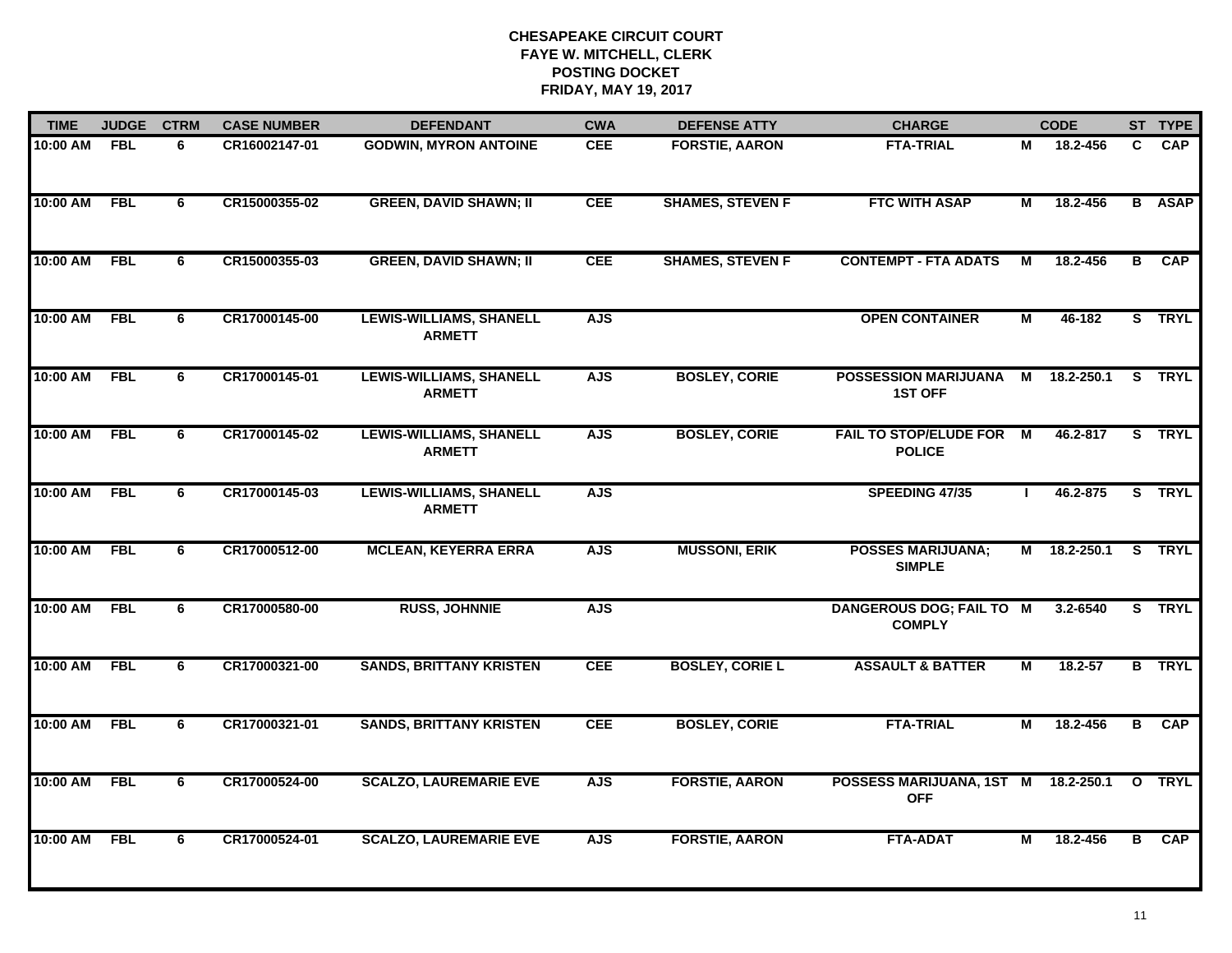| <b>TIME</b>  | <b>JUDGE</b> | <b>CTRM</b> | <b>CASE NUMBER</b> | <b>DEFENDANT</b>                                | <b>CWA</b> | <b>DEFENSE ATTY</b>     | <b>CHARGE</b>                                     |              | <b>CODE</b>  |   | ST TYPE       |
|--------------|--------------|-------------|--------------------|-------------------------------------------------|------------|-------------------------|---------------------------------------------------|--------------|--------------|---|---------------|
| 10:00 AM     | FBL          | 6           | CR16002147-01      | <b>GODWIN, MYRON ANTOINE</b>                    | <b>CEE</b> | <b>FORSTIE, AARON</b>   | <b>FTA-TRIAL</b>                                  | М            | 18.2-456     | C | <b>CAP</b>    |
| 10:00 AM     | FBL          | 6           | CR15000355-02      | <b>GREEN, DAVID SHAWN; II</b>                   | <b>CEE</b> | <b>SHAMES, STEVEN F</b> | <b>FTC WITH ASAP</b>                              | М            | 18.2-456     |   | <b>B</b> ASAP |
| 10:00 AM     | <b>FBL</b>   | 6           | CR15000355-03      | <b>GREEN, DAVID SHAWN; II</b>                   | <b>CEE</b> | <b>SHAMES, STEVEN F</b> | <b>CONTEMPT - FTA ADATS</b>                       | М            | 18.2-456     | B | <b>CAP</b>    |
| 10:00 AM     | <b>FBL</b>   | 6           | CR17000145-00      | <b>LEWIS-WILLIAMS, SHANELL</b><br><b>ARMETT</b> | <b>AJS</b> |                         | <b>OPEN CONTAINER</b>                             | М            | 46-182       |   | S TRYL        |
| 10:00 AM     | <b>FBL</b>   | 6           | CR17000145-01      | <b>LEWIS-WILLIAMS, SHANELL</b><br><b>ARMETT</b> | <b>AJS</b> | <b>BOSLEY, CORIE</b>    | <b>POSSESSION MARIJUANA</b><br><b>1ST OFF</b>     | M            | 18.2-250.1   |   | S TRYL        |
| 10:00 AM FBL |              | 6           | CR17000145-02      | <b>LEWIS-WILLIAMS, SHANELL</b><br><b>ARMETT</b> | <b>AJS</b> | <b>BOSLEY, CORIE</b>    | FAIL TO STOP/ELUDE FOR M<br><b>POLICE</b>         |              | 46.2-817     |   | S TRYL        |
| 10:00 AM     | <b>FBL</b>   | 6           | CR17000145-03      | <b>LEWIS-WILLIAMS, SHANELL</b><br><b>ARMETT</b> | <b>AJS</b> |                         | SPEEDING 47/35                                    | $\mathbf{L}$ | 46.2-875     |   | S TRYL        |
| 10:00 AM     | FBL          | 6           | CR17000512-00      | <b>MCLEAN, KEYERRA ERRA</b>                     | <b>AJS</b> | <b>MUSSONI, ERIK</b>    | <b>POSSES MARIJUANA;</b><br><b>SIMPLE</b>         |              | M 18.2-250.1 |   | S TRYL        |
| 10:00 AM     | <b>FBL</b>   | 6           | CR17000580-00      | <b>RUSS, JOHNNIE</b>                            | <b>AJS</b> |                         | DANGEROUS DOG; FAIL TO M<br><b>COMPLY</b>         |              | 3.2-6540     |   | S TRYL        |
| 10:00 AM     | <b>FBL</b>   | 6           | CR17000321-00      | <b>SANDS, BRITTANY KRISTEN</b>                  | <b>CEE</b> | <b>BOSLEY, CORIE L</b>  | <b>ASSAULT &amp; BATTER</b>                       | М            | $18.2 - 57$  |   | <b>B</b> TRYL |
| 10:00 AM     | FBL          | 6           | CR17000321-01      | <b>SANDS, BRITTANY KRISTEN</b>                  | <b>CEE</b> | <b>BOSLEY, CORIE</b>    | <b>FTA-TRIAL</b>                                  | М            | 18.2-456     | B | <b>CAP</b>    |
| 10:00 AM     | <b>FBL</b>   | 6           | CR17000524-00      | <b>SCALZO, LAUREMARIE EVE</b>                   | <b>AJS</b> | <b>FORSTIE, AARON</b>   | POSSESS MARIJUANA, 1ST M 18.2-250.1<br><b>OFF</b> |              |              |   | O TRYL        |
| 10:00 AM     | <b>FBL</b>   | 6           | CR17000524-01      | <b>SCALZO, LAUREMARIE EVE</b>                   | <b>AJS</b> | <b>FORSTIE, AARON</b>   | <b>FTA-ADAT</b>                                   | М            | 18.2-456     | B | CAP           |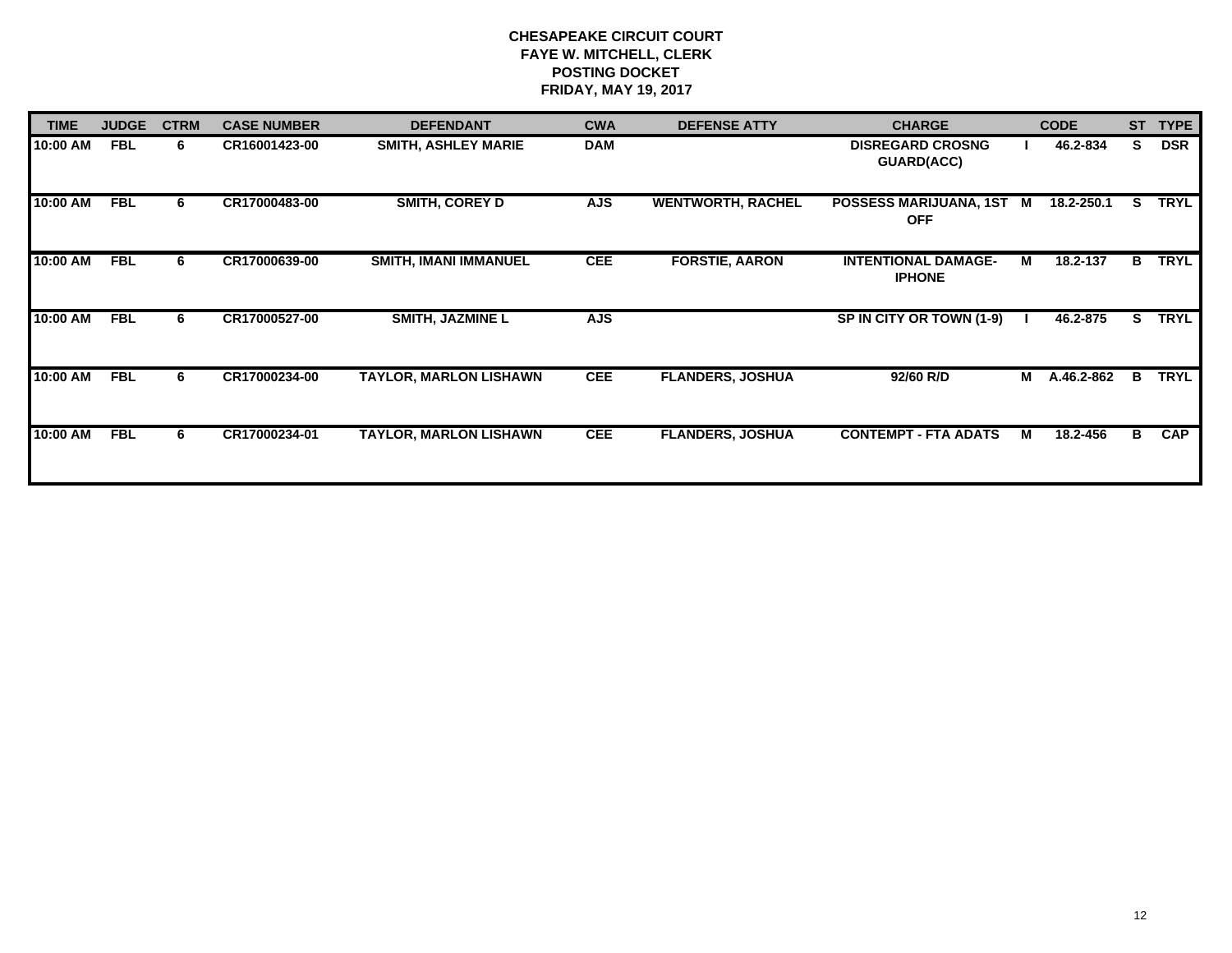| <b>TIME</b> | <b>JUDGE</b> | <b>CTRM</b> | <b>CASE NUMBER</b> | <b>DEFENDANT</b>              | <b>CWA</b> | <b>DEFENSE ATTY</b>      | <b>CHARGE</b>                                |   | <b>CODE</b> | <b>ST</b> | <b>TYPE</b> |
|-------------|--------------|-------------|--------------------|-------------------------------|------------|--------------------------|----------------------------------------------|---|-------------|-----------|-------------|
| 10:00 AM    | <b>FBL</b>   | 6.          | CR16001423-00      | <b>SMITH, ASHLEY MARIE</b>    | <b>DAM</b> |                          | <b>DISREGARD CROSNG</b><br><b>GUARD(ACC)</b> |   | 46.2-834    | s         | <b>DSR</b>  |
| 10:00 AM    | <b>FBL</b>   | 6           | CR17000483-00      | <b>SMITH, COREY D</b>         | <b>AJS</b> | <b>WENTWORTH, RACHEL</b> | POSSESS MARIJUANA, 1ST<br><b>OFF</b>         | M | 18.2-250.1  | S.        | <b>TRYL</b> |
| 10:00 AM    | <b>FBL</b>   | 6           | CR17000639-00      | <b>SMITH, IMANI IMMANUEL</b>  | <b>CEE</b> | <b>FORSTIE, AARON</b>    | <b>INTENTIONAL DAMAGE-</b><br><b>IPHONE</b>  | M | 18.2-137    | в         | <b>TRYL</b> |
| 10:00 AM    | <b>FBL</b>   | 6           | CR17000527-00      | <b>SMITH, JAZMINE L</b>       | <b>AJS</b> |                          | SP IN CITY OR TOWN (1-9)                     |   | 46.2-875    | s         | <b>TRYL</b> |
| 10:00 AM    | <b>FBL</b>   | 6           | CR17000234-00      | <b>TAYLOR, MARLON LISHAWN</b> | <b>CEE</b> | <b>FLANDERS, JOSHUA</b>  | 92/60 R/D                                    | M | A.46.2-862  | в         | <b>TRYL</b> |
| 10:00 AM    | <b>FBL</b>   | 6           | CR17000234-01      | <b>TAYLOR, MARLON LISHAWN</b> | <b>CEE</b> | <b>FLANDERS, JOSHUA</b>  | <b>CONTEMPT - FTA ADATS</b>                  | M | 18.2-456    | B         | <b>CAP</b>  |